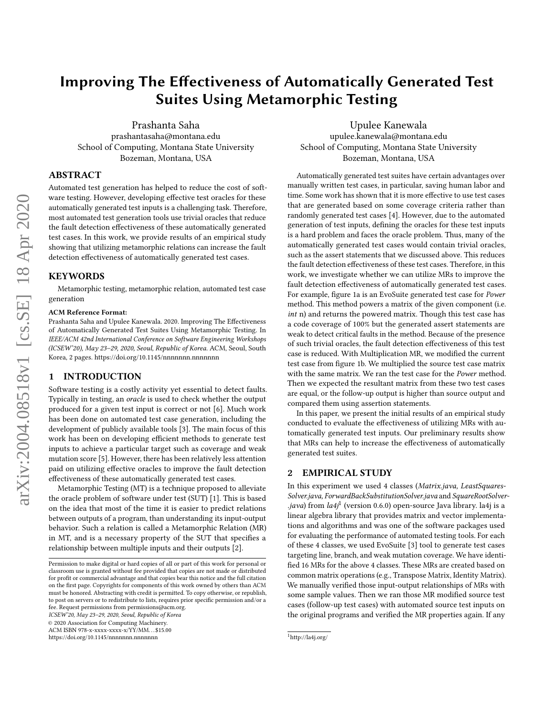# Improving The Effectiveness of Automatically Generated Test Suites Using Metamorphic Testing

Prashanta Saha prashantasaha@montana.edu School of Computing, Montana State University Bozeman, Montana, USA

ABSTRACT

Automated test generation has helped to reduce the cost of software testing. However, developing effective test oracles for these automatically generated test inputs is a challenging task. Therefore, most automated test generation tools use trivial oracles that reduce the fault detection effectiveness of these automatically generated test cases. In this work, we provide results of an empirical study showing that utilizing metamorphic relations can increase the fault detection effectiveness of automatically generated test cases.

### KEYWORDS

Metamorphic testing, metamorphic relation, automated test case generation

#### ACM Reference Format:

Prashanta Saha and Upulee Kanewala. 2020. Improving The Effectiveness of Automatically Generated Test Suites Using Metamorphic Testing. In IEEE/ACM 42nd International Conference on Software Engineering Workshops (ICSEW'20), May 23–29, 2020, Seoul, Republic of Korea. ACM, Seoul, South Korea, [2](#page-1-0) pages.<https://doi.org/10.1145/nnnnnnn.nnnnnnn>n

#### 1 INTRODUCTION

Software testing is a costly activity yet essential to detect faults. Typically in testing, an oracle is used to check whether the output produced for a given test input is correct or not [\[6\]](#page-1-1). Much work has been done on automated test case generation, including the development of publicly available tools [\[3\]](#page-1-2). The main focus of this work has been on developing efficient methods to generate test inputs to achieve a particular target such as coverage and weak mutation score [\[5\]](#page-1-3). However, there has been relatively less attention paid on utilizing effective oracles to improve the fault detection effectiveness of these automatically generated test cases.

Metamorphic Testing (MT) is a technique proposed to alleviate the oracle problem of software under test (SUT) [\[1\]](#page-1-4). This is based on the idea that most of the time it is easier to predict relations between outputs of a program, than understanding its input-output behavior. Such a relation is called a Metamorphic Relation (MR) in MT, and is a necessary property of the SUT that specifies a relationship between multiple inputs and their outputs [\[2\]](#page-1-5).

ICSEW'20, May 23–29, 2020, Seoul, Republic of Korea

© 2020 Association for Computing Machinery.

ACM ISBN 978-x-xxxx-xxxx-x/YY/MM. . . \$15.00

<https://doi.org/10.1145/nnnnnnn.nnnnnnn>

Upulee Kanewala upulee.kanewala@montana.edu School of Computing, Montana State University Bozeman, Montana, USA

Automatically generated test suites have certain advantages over manually written test cases, in particular, saving human labor and time. Some work has shown that it is more effective to use test cases that are generated based on some coverage criteria rather than randomly generated test cases [\[4\]](#page-1-6). However, due to the automated generation of test inputs, defining the oracles for these test inputs is a hard problem and faces the oracle problem. Thus, many of the automatically generated test cases would contain trivial oracles, such as the assert statements that we discussed above. This reduces the fault detection effectiveness of these test cases. Therefore, in this work, we investigate whether we can utilize MRs to improve the fault detection effectiveness of automatically generated test cases. For example, figure [1a](#page-1-7) is an EvoSuite generated test case for Power method. This method powers a matrix of the given component (i.e. int n) and returns the powered matrix. Though this test case has a code coverage of 100% but the generated assert statements are weak to detect critical faults in the method. Because of the presence of such trivial oracles, the fault detection effectiveness of this test case is reduced. With Multiplication MR, we modified the current test case from figure [1b](#page-1-7). We multiplied the source test case matrix with the same matrix. We ran the test case for the Power method. Then we expected the resultant matrix from these two test cases are equal, or the follow-up output is higher than source output and compared them using assertion statements.

In this paper, we present the initial results of an empirical study conducted to evaluate the effectiveness of utilizing MRs with automatically generated test inputs. Our preliminary results show that MRs can help to increase the effectiveness of automatically generated test suites.

#### 2 EMPIRICAL STUDY

In this experiment we used 4 classes (Matrix.java, LeastSquares-Solver.java, ForwardBackSubstitutionSolver.java and SquareRootSolver- .java) from la4j<sup>[1](#page-0-0)</sup> (version 0.6.0) open-source Java library. la4j is a linear algebra library that provides matrix and vector implementations and algorithms and was one of the software packages used for evaluating the performance of automated testing tools. For each of these 4 classes, we used EvoSuite [\[3\]](#page-1-2) tool to generate test cases targeting line, branch, and weak mutation coverage. We have identified 16 MRs for the above 4 classes. These MRs are created based on common matrix operations (e.g., Transpose Matrix, Identity Matrix). We manually verified those input-output relationships of MRs with some sample values. Then we ran those MR modified source test cases (follow-up test cases) with automated source test inputs on the original programs and verified the MR properties again. If any

Permission to make digital or hard copies of all or part of this work for personal or classroom use is granted without fee provided that copies are not made or distributed for profit or commercial advantage and that copies bear this notice and the full citation on the first page. Copyrights for components of this work owned by others than ACM must be honored. Abstracting with credit is permitted. To copy otherwise, or republish, to post on servers or to redistribute to lists, requires prior specific permission and/or a fee. Request permissions from permissions@acm.org.

<span id="page-0-0"></span><sup>1</sup><http://la4j.org/>